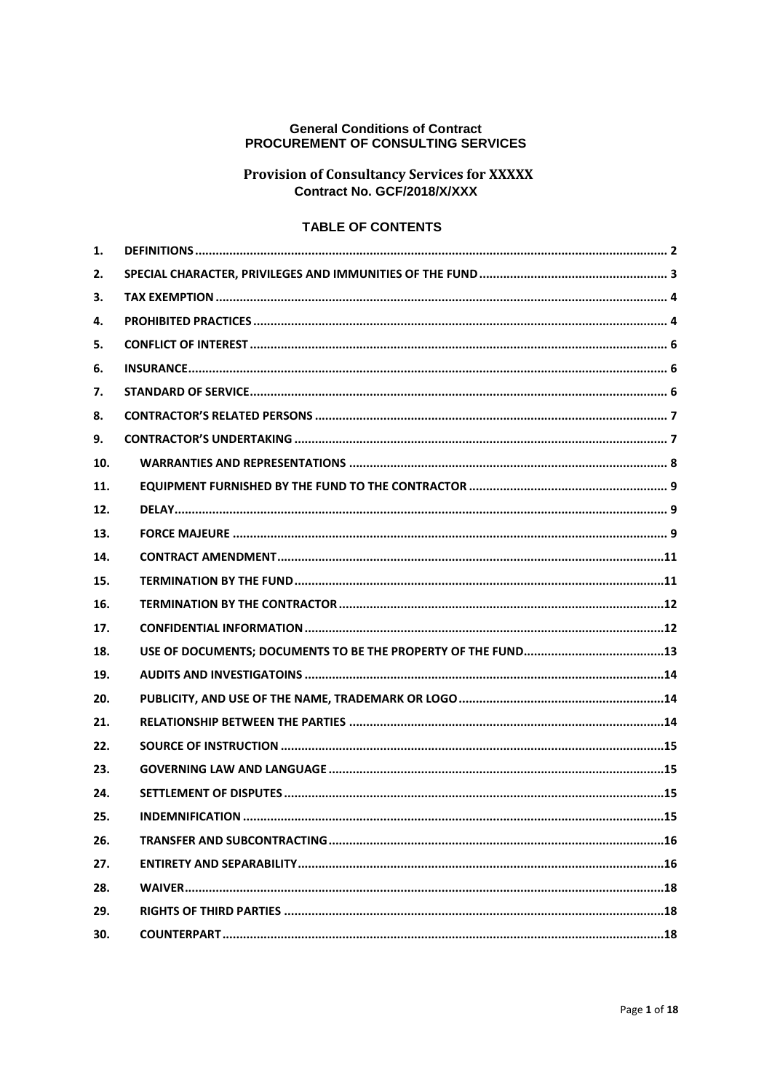### **General Conditions of Contract** PROCUREMENT OF CONSULTING SERVICES

# **Provision of Consultancy Services for XXXXX** Contract No. GCF/2018/X/XXX

## **TABLE OF CONTENTS**

| 1.  |  |
|-----|--|
| 2.  |  |
| З.  |  |
| 4.  |  |
| 5.  |  |
| 6.  |  |
| 7.  |  |
| 8.  |  |
| 9.  |  |
| 10. |  |
| 11. |  |
| 12. |  |
| 13. |  |
| 14. |  |
| 15. |  |
| 16. |  |
| 17. |  |
| 18. |  |
| 19. |  |
| 20. |  |
| 21. |  |
| 22. |  |
| 23. |  |
| 24. |  |
| 25. |  |
| 26. |  |
| 27. |  |
| 28. |  |
| 29. |  |
| 30. |  |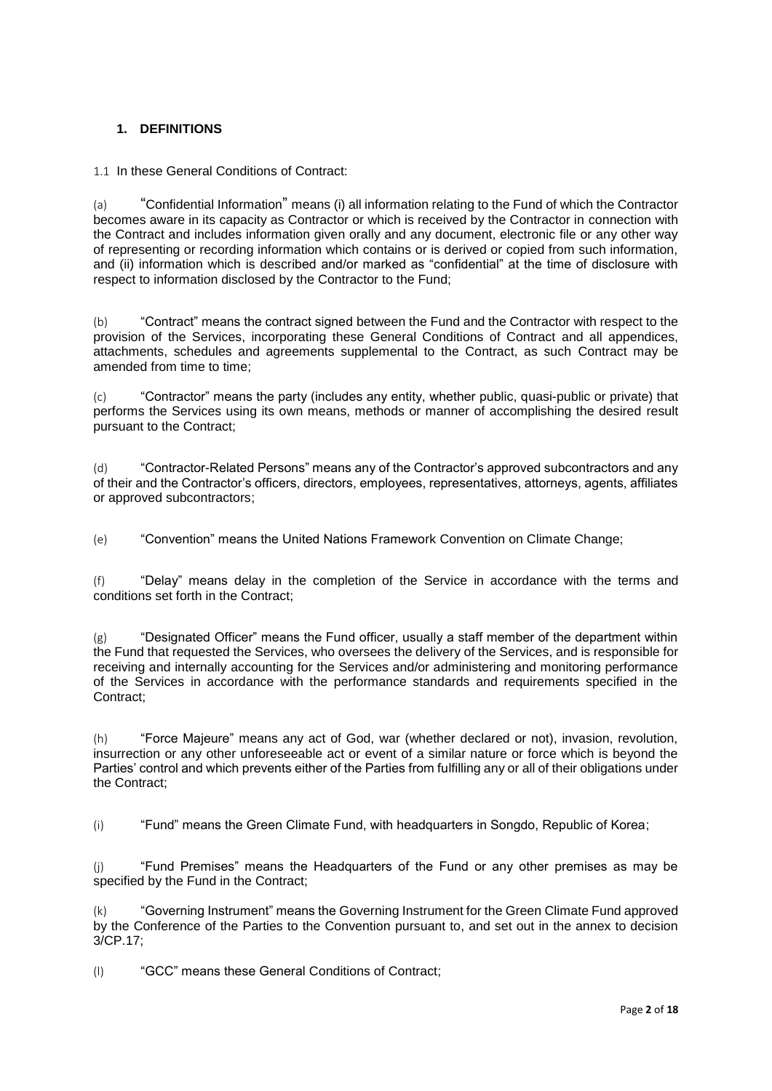## <span id="page-1-0"></span>**1. DEFINITIONS**

1.1 In these General Conditions of Contract:

(a) "Confidential Information" means (i) all information relating to the Fund of which the Contractor becomes aware in its capacity as Contractor or which is received by the Contractor in connection with the Contract and includes information given orally and any document, electronic file or any other way of representing or recording information which contains or is derived or copied from such information, and (ii) information which is described and/or marked as "confidential" at the time of disclosure with respect to information disclosed by the Contractor to the Fund;

(b) "Contract" means the contract signed between the Fund and the Contractor with respect to the provision of the Services, incorporating these General Conditions of Contract and all appendices, attachments, schedules and agreements supplemental to the Contract, as such Contract may be amended from time to time:

(c) "Contractor" means the party (includes any entity, whether public, quasi-public or private) that performs the Services using its own means, methods or manner of accomplishing the desired result pursuant to the Contract;

(d) "Contractor-Related Persons" means any of the Contractor's approved subcontractors and any of their and the Contractor's officers, directors, employees, representatives, attorneys, agents, affiliates or approved subcontractors;

(e) "Convention" means the United Nations Framework Convention on Climate Change;

(f) "Delay" means delay in the completion of the Service in accordance with the terms and conditions set forth in the Contract;

 $(g)$  "Designated Officer" means the Fund officer, usually a staff member of the department within the Fund that requested the Services, who oversees the delivery of the Services, and is responsible for receiving and internally accounting for the Services and/or administering and monitoring performance of the Services in accordance with the performance standards and requirements specified in the Contract;

(h) "Force Majeure" means any act of God, war (whether declared or not), invasion, revolution, insurrection or any other unforeseeable act or event of a similar nature or force which is beyond the Parties' control and which prevents either of the Parties from fulfilling any or all of their obligations under the Contract;

(i) "Fund" means the Green Climate Fund, with headquarters in Songdo, Republic of Korea;

(j) "Fund Premises" means the Headquarters of the Fund or any other premises as may be specified by the Fund in the Contract;

(k) "Governing Instrument" means the Governing Instrument for the Green Climate Fund approved by the Conference of the Parties to the Convention pursuant to, and set out in the annex to decision 3/CP.17;

(l) "GCC" means these General Conditions of Contract;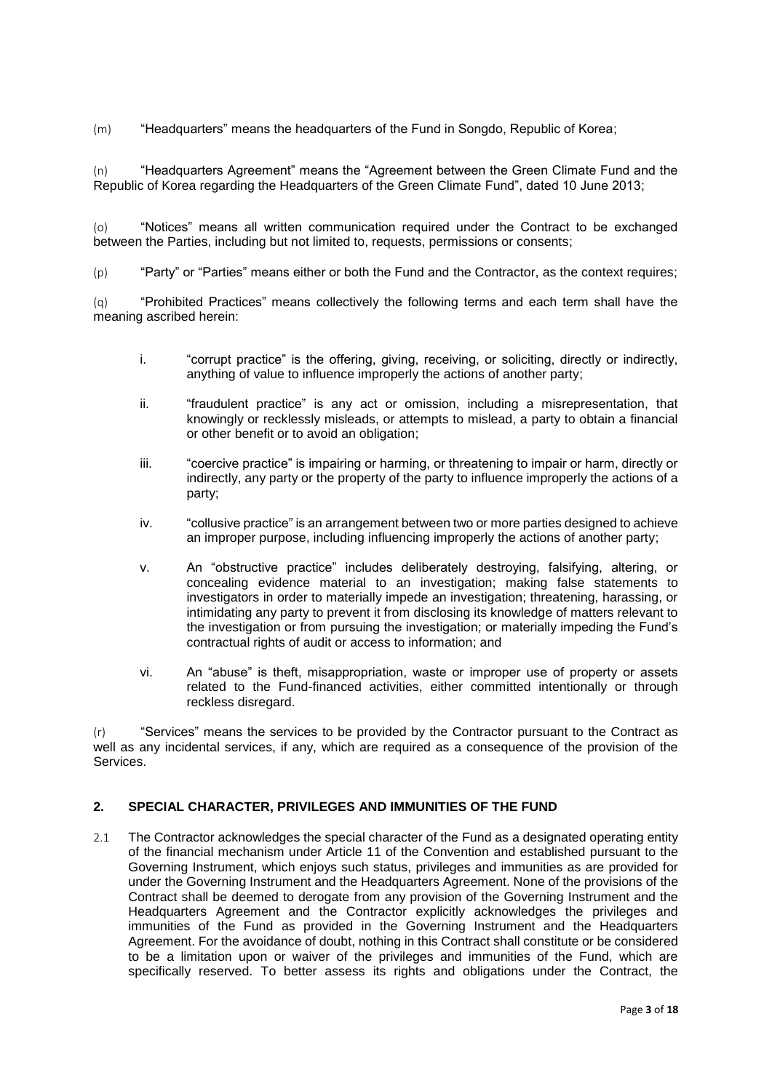(m) "Headquarters" means the headquarters of the Fund in Songdo, Republic of Korea;

(n) "Headquarters Agreement" means the "Agreement between the Green Climate Fund and the Republic of Korea regarding the Headquarters of the Green Climate Fund", dated 10 June 2013;

(o) "Notices" means all written communication required under the Contract to be exchanged between the Parties, including but not limited to, requests, permissions or consents;

(p) "Party" or "Parties" means either or both the Fund and the Contractor, as the context requires;

(q) "Prohibited Practices" means collectively the following terms and each term shall have the meaning ascribed herein:

- i. "corrupt practice" is the offering, giving, receiving, or soliciting, directly or indirectly, anything of value to influence improperly the actions of another party;
- ii. "fraudulent practice" is any act or omission, including a misrepresentation, that knowingly or recklessly misleads, or attempts to mislead, a party to obtain a financial or other benefit or to avoid an obligation;
- iii. "coercive practice" is impairing or harming, or threatening to impair or harm, directly or indirectly, any party or the property of the party to influence improperly the actions of a party;
- iv. "collusive practice" is an arrangement between two or more parties designed to achieve an improper purpose, including influencing improperly the actions of another party;
- v. An "obstructive practice" includes deliberately destroying, falsifying, altering, or concealing evidence material to an investigation; making false statements to investigators in order to materially impede an investigation; threatening, harassing, or intimidating any party to prevent it from disclosing its knowledge of matters relevant to the investigation or from pursuing the investigation; or materially impeding the Fund's contractual rights of audit or access to information; and
- vi. An "abuse" is theft, misappropriation, waste or improper use of property or assets related to the Fund-financed activities, either committed intentionally or through reckless disregard.

(r) "Services" means the services to be provided by the Contractor pursuant to the Contract as well as any incidental services, if any, which are required as a consequence of the provision of the Services.

## <span id="page-2-0"></span>**2. SPECIAL CHARACTER, PRIVILEGES AND IMMUNITIES OF THE FUND**

2.1 The Contractor acknowledges the special character of the Fund as a designated operating entity of the financial mechanism under Article 11 of the Convention and established pursuant to the Governing Instrument, which enjoys such status, privileges and immunities as are provided for under the Governing Instrument and the Headquarters Agreement. None of the provisions of the Contract shall be deemed to derogate from any provision of the Governing Instrument and the Headquarters Agreement and the Contractor explicitly acknowledges the privileges and immunities of the Fund as provided in the Governing Instrument and the Headquarters Agreement. For the avoidance of doubt, nothing in this Contract shall constitute or be considered to be a limitation upon or waiver of the privileges and immunities of the Fund, which are specifically reserved. To better assess its rights and obligations under the Contract, the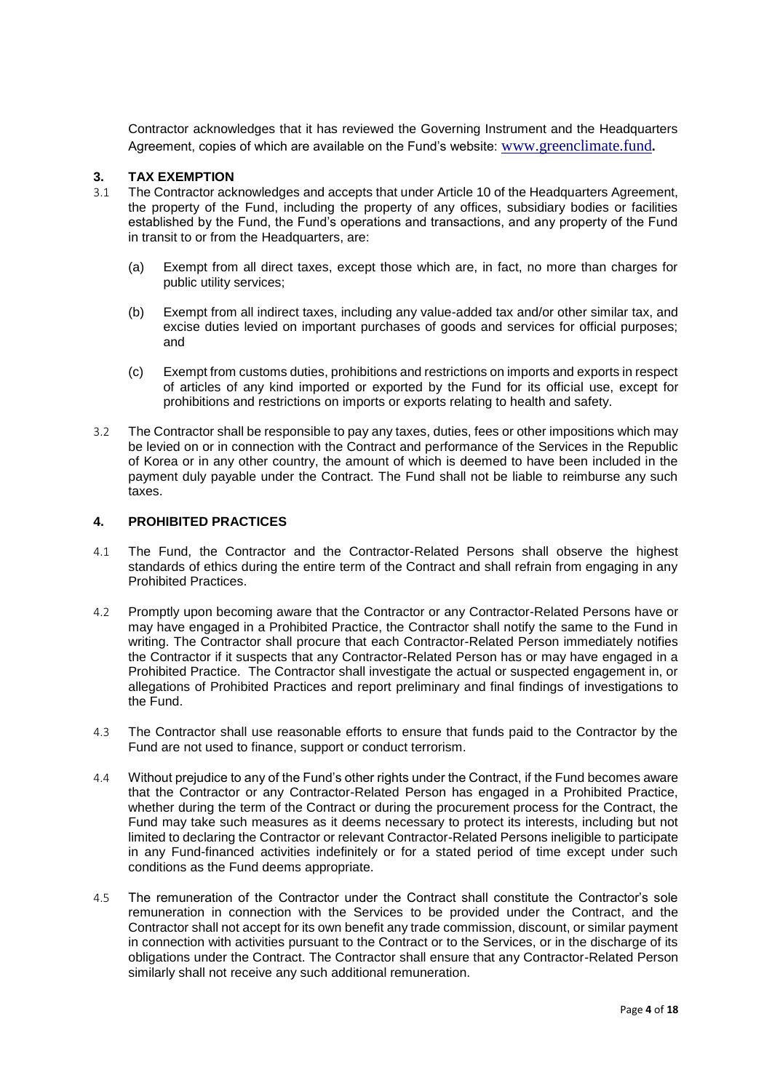Contractor acknowledges that it has reviewed the Governing Instrument and the Headquarters Agreement, copies of which are available on the Fund's website: [www.greenclimate.fund](http://www.greenclimate.fund/)**.**

## <span id="page-3-0"></span>**3. TAX EXEMPTION**

- 3.1 The Contractor acknowledges and accepts that under Article 10 of the Headquarters Agreement, the property of the Fund, including the property of any offices, subsidiary bodies or facilities established by the Fund, the Fund's operations and transactions, and any property of the Fund in transit to or from the Headquarters, are:
	- (a) Exempt from all direct taxes, except those which are, in fact, no more than charges for public utility services;
	- (b) Exempt from all indirect taxes, including any value-added tax and/or other similar tax, and excise duties levied on important purchases of goods and services for official purposes; and
	- (c) Exempt from customs duties, prohibitions and restrictions on imports and exports in respect of articles of any kind imported or exported by the Fund for its official use, except for prohibitions and restrictions on imports or exports relating to health and safety.
- 3.2 The Contractor shall be responsible to pay any taxes, duties, fees or other impositions which may be levied on or in connection with the Contract and performance of the Services in the Republic of Korea or in any other country, the amount of which is deemed to have been included in the payment duly payable under the Contract. The Fund shall not be liable to reimburse any such taxes.

## <span id="page-3-1"></span>**4. PROHIBITED PRACTICES**

- 4.1 The Fund, the Contractor and the Contractor-Related Persons shall observe the highest standards of ethics during the entire term of the Contract and shall refrain from engaging in any Prohibited Practices.
- 4.2 Promptly upon becoming aware that the Contractor or any Contractor-Related Persons have or may have engaged in a Prohibited Practice, the Contractor shall notify the same to the Fund in writing. The Contractor shall procure that each Contractor-Related Person immediately notifies the Contractor if it suspects that any Contractor-Related Person has or may have engaged in a Prohibited Practice. The Contractor shall investigate the actual or suspected engagement in, or allegations of Prohibited Practices and report preliminary and final findings of investigations to the Fund.
- 4.3 The Contractor shall use reasonable efforts to ensure that funds paid to the Contractor by the Fund are not used to finance, support or conduct terrorism.
- 4.4 Without prejudice to any of the Fund's other rights under the Contract, if the Fund becomes aware that the Contractor or any Contractor-Related Person has engaged in a Prohibited Practice, whether during the term of the Contract or during the procurement process for the Contract, the Fund may take such measures as it deems necessary to protect its interests, including but not limited to declaring the Contractor or relevant Contractor-Related Persons ineligible to participate in any Fund-financed activities indefinitely or for a stated period of time except under such conditions as the Fund deems appropriate.
- 4.5 The remuneration of the Contractor under the Contract shall constitute the Contractor's sole remuneration in connection with the Services to be provided under the Contract, and the Contractor shall not accept for its own benefit any trade commission, discount, or similar payment in connection with activities pursuant to the Contract or to the Services, or in the discharge of its obligations under the Contract. The Contractor shall ensure that any Contractor-Related Person similarly shall not receive any such additional remuneration.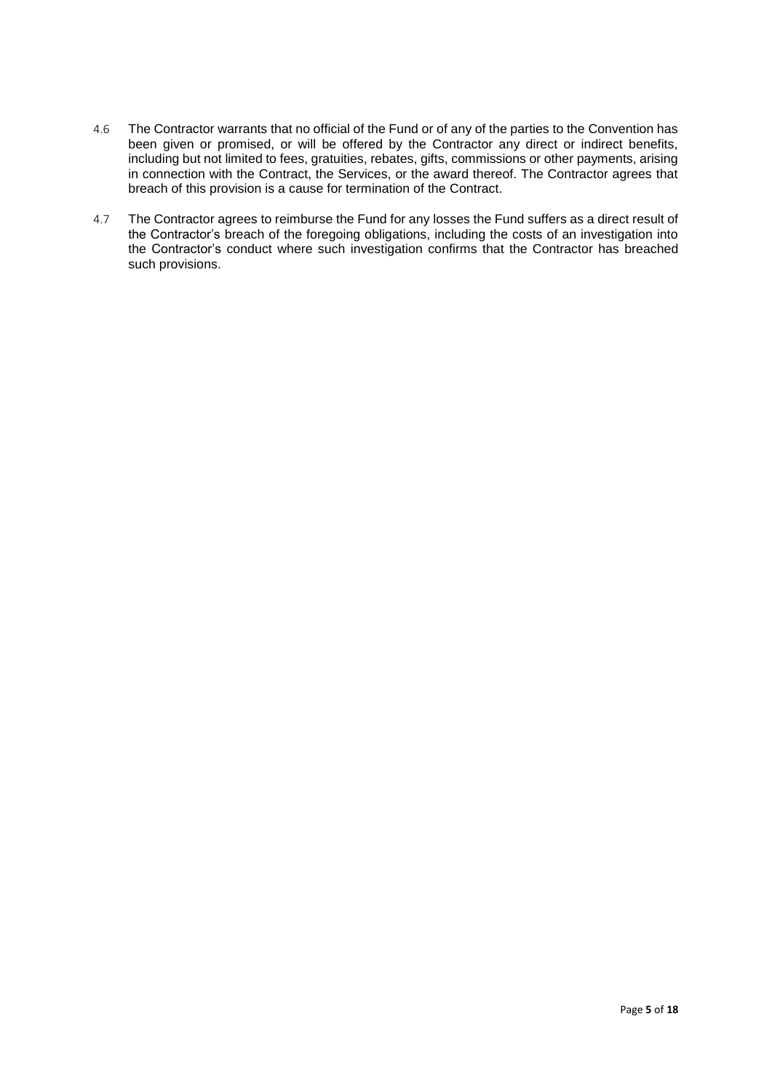- 4.6 The Contractor warrants that no official of the Fund or of any of the parties to the Convention has been given or promised, or will be offered by the Contractor any direct or indirect benefits, including but not limited to fees, gratuities, rebates, gifts, commissions or other payments, arising in connection with the Contract, the Services, or the award thereof. The Contractor agrees that breach of this provision is a cause for termination of the Contract.
- 4.7 The Contractor agrees to reimburse the Fund for any losses the Fund suffers as a direct result of the Contractor's breach of the foregoing obligations, including the costs of an investigation into the Contractor's conduct where such investigation confirms that the Contractor has breached such provisions.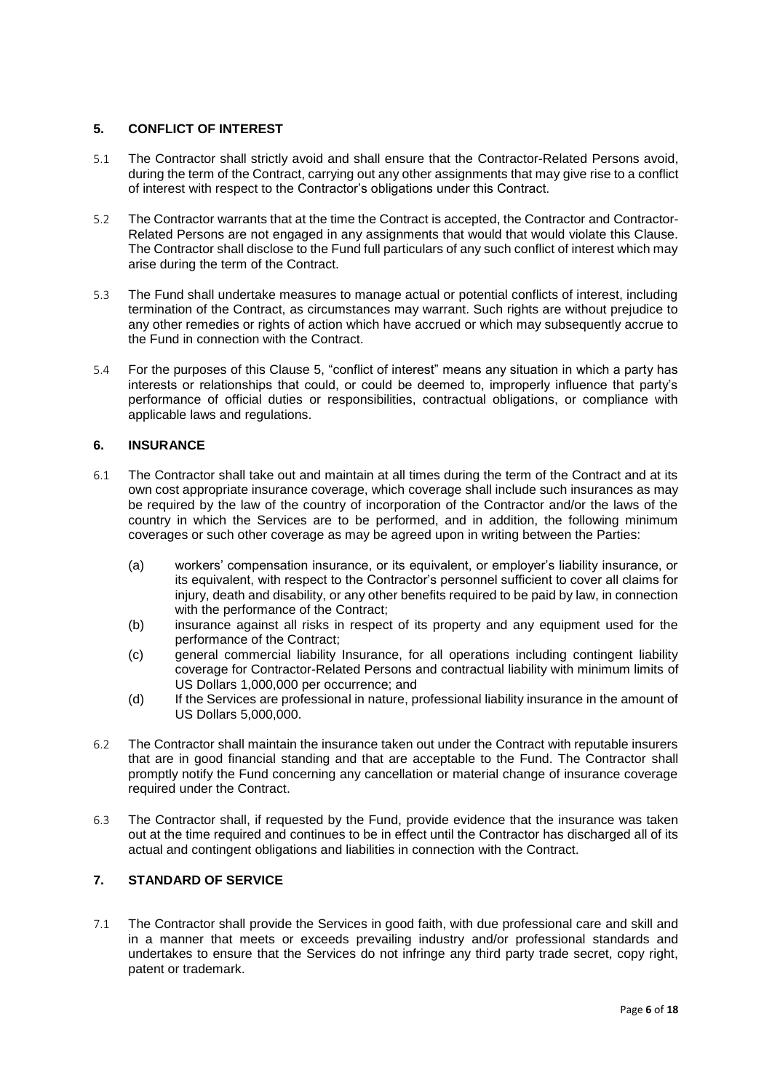## <span id="page-5-0"></span>**5. CONFLICT OF INTEREST**

- 5.1 The Contractor shall strictly avoid and shall ensure that the Contractor-Related Persons avoid, during the term of the Contract, carrying out any other assignments that may give rise to a conflict of interest with respect to the Contractor's obligations under this Contract.
- 5.2 The Contractor warrants that at the time the Contract is accepted, the Contractor and Contractor-Related Persons are not engaged in any assignments that would that would violate this Clause. The Contractor shall disclose to the Fund full particulars of any such conflict of interest which may arise during the term of the Contract.
- 5.3 The Fund shall undertake measures to manage actual or potential conflicts of interest, including termination of the Contract, as circumstances may warrant. Such rights are without prejudice to any other remedies or rights of action which have accrued or which may subsequently accrue to the Fund in connection with the Contract.
- 5.4 For the purposes of this Clause [5,](#page-5-0) "conflict of interest" means any situation in which a party has interests or relationships that could, or could be deemed to, improperly influence that party's performance of official duties or responsibilities, contractual obligations, or compliance with applicable laws and regulations.

## <span id="page-5-1"></span>**6. INSURANCE**

- 6.1 The Contractor shall take out and maintain at all times during the term of the Contract and at its own cost appropriate insurance coverage, which coverage shall include such insurances as may be required by the law of the country of incorporation of the Contractor and/or the laws of the country in which the Services are to be performed, and in addition, the following minimum coverages or such other coverage as may be agreed upon in writing between the Parties:
	- (a) workers' compensation insurance, or its equivalent, or employer's liability insurance, or its equivalent, with respect to the Contractor's personnel sufficient to cover all claims for injury, death and disability, or any other benefits required to be paid by law, in connection with the performance of the Contract;
	- (b) insurance against all risks in respect of its property and any equipment used for the performance of the Contract;
	- (c) general commercial liability Insurance, for all operations including contingent liability coverage for Contractor-Related Persons and contractual liability with minimum limits of US Dollars 1,000,000 per occurrence; and
	- (d) If the Services are professional in nature, professional liability insurance in the amount of US Dollars 5,000,000.
- 6.2 The Contractor shall maintain the insurance taken out under the Contract with reputable insurers that are in good financial standing and that are acceptable to the Fund. The Contractor shall promptly notify the Fund concerning any cancellation or material change of insurance coverage required under the Contract.
- 6.3 The Contractor shall, if requested by the Fund, provide evidence that the insurance was taken out at the time required and continues to be in effect until the Contractor has discharged all of its actual and contingent obligations and liabilities in connection with the Contract.

## <span id="page-5-2"></span>**7. STANDARD OF SERVICE**

7.1 The Contractor shall provide the Services in good faith, with due professional care and skill and in a manner that meets or exceeds prevailing industry and/or professional standards and undertakes to ensure that the Services do not infringe any third party trade secret, copy right, patent or trademark.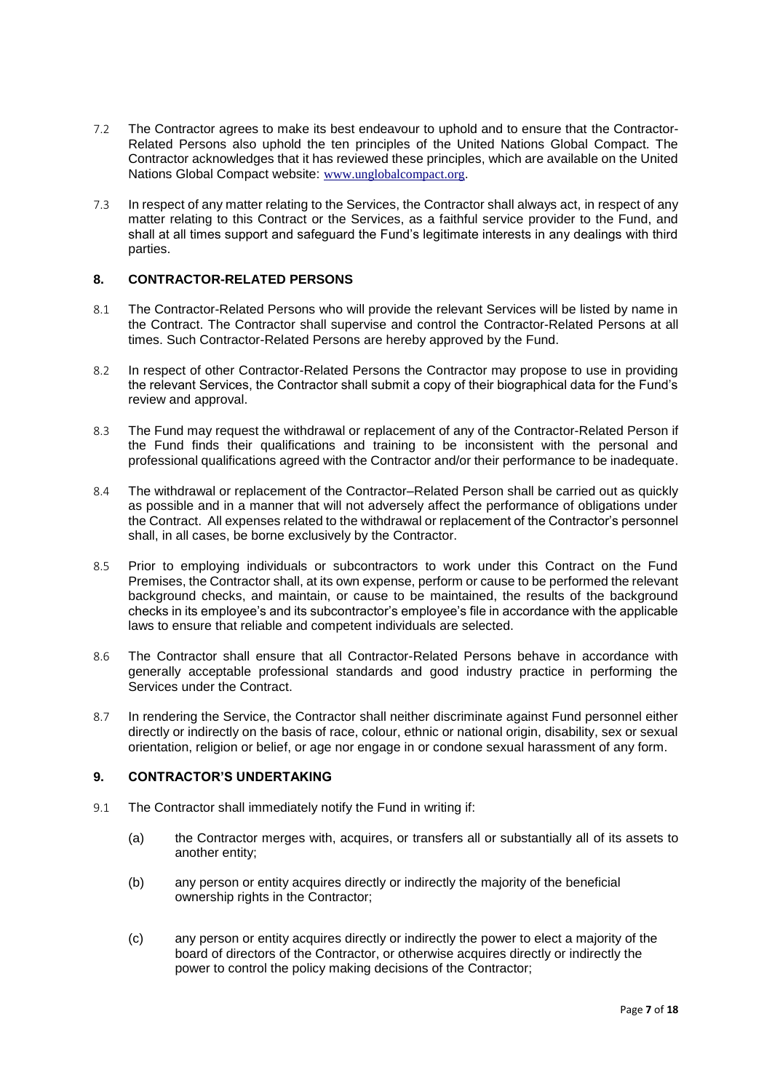- 7.2 The Contractor agrees to make its best endeavour to uphold and to ensure that the Contractor-Related Persons also uphold the ten principles of the United Nations Global Compact. The Contractor acknowledges that it has reviewed these principles, which are available on the United Nations Global Compact website: [www.unglobalcompact.org](http://www.unglobalcompact.org/).
- 7.3 In respect of any matter relating to the Services, the Contractor shall always act, in respect of any matter relating to this Contract or the Services, as a faithful service provider to the Fund, and shall at all times support and safeguard the Fund's legitimate interests in any dealings with third parties.

#### <span id="page-6-0"></span>**8. CONTRACTOR-RELATED PERSONS**

- 8.1 The Contractor-Related Persons who will provide the relevant Services will be listed by name in the Contract. The Contractor shall supervise and control the Contractor-Related Persons at all times. Such Contractor-Related Persons are hereby approved by the Fund.
- 8.2 In respect of other Contractor-Related Persons the Contractor may propose to use in providing the relevant Services, the Contractor shall submit a copy of their biographical data for the Fund's review and approval.
- 8.3 The Fund may request the withdrawal or replacement of any of the Contractor-Related Person if the Fund finds their qualifications and training to be inconsistent with the personal and professional qualifications agreed with the Contractor and/or their performance to be inadequate.
- 8.4 The withdrawal or replacement of the Contractor–Related Person shall be carried out as quickly as possible and in a manner that will not adversely affect the performance of obligations under the Contract. All expenses related to the withdrawal or replacement of the Contractor's personnel shall, in all cases, be borne exclusively by the Contractor.
- 8.5 Prior to employing individuals or subcontractors to work under this Contract on the Fund Premises, the Contractor shall, at its own expense, perform or cause to be performed the relevant background checks, and maintain, or cause to be maintained, the results of the background checks in its employee's and its subcontractor's employee's file in accordance with the applicable laws to ensure that reliable and competent individuals are selected.
- 8.6 The Contractor shall ensure that all Contractor-Related Persons behave in accordance with generally acceptable professional standards and good industry practice in performing the Services under the Contract.
- 8.7 In rendering the Service, the Contractor shall neither discriminate against Fund personnel either directly or indirectly on the basis of race, colour, ethnic or national origin, disability, sex or sexual orientation, religion or belief, or age nor engage in or condone sexual harassment of any form.

#### <span id="page-6-1"></span>**9. CONTRACTOR'S UNDERTAKING**

- 9.1 The Contractor shall immediately notify the Fund in writing if:
	- (a) the Contractor merges with, acquires, or transfers all or substantially all of its assets to another entity;
	- (b) any person or entity acquires directly or indirectly the majority of the beneficial ownership rights in the Contractor;
	- (c) any person or entity acquires directly or indirectly the power to elect a majority of the board of directors of the Contractor, or otherwise acquires directly or indirectly the power to control the policy making decisions of the Contractor;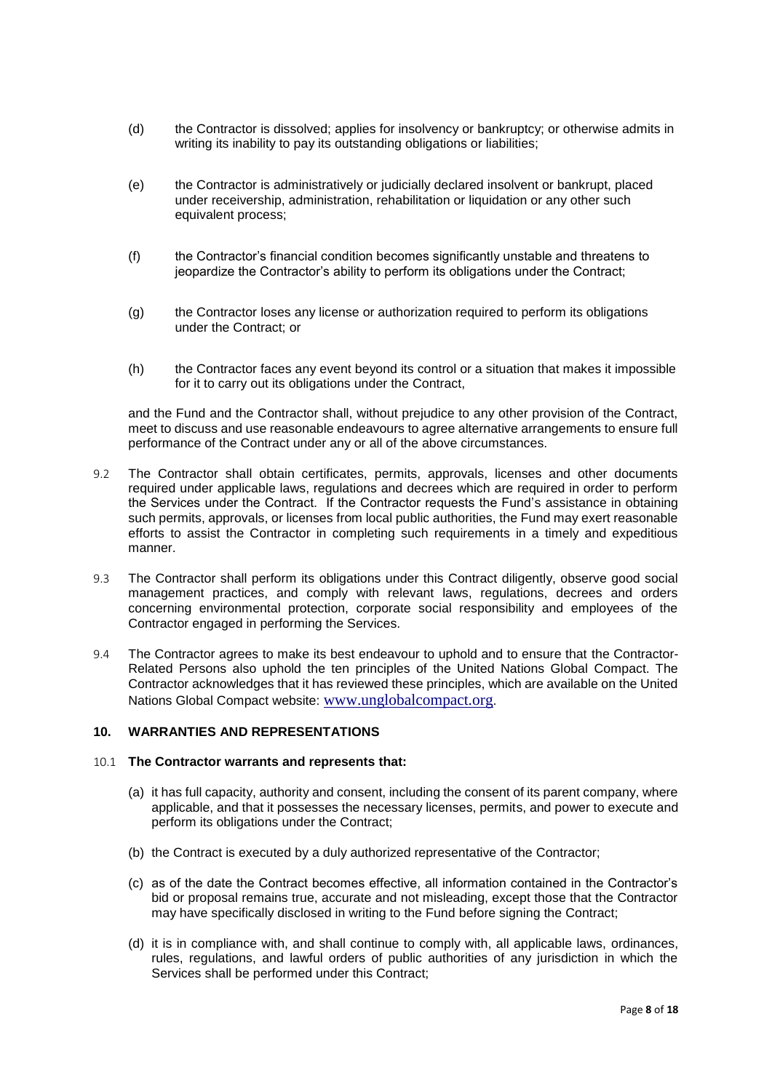- (d) the Contractor is dissolved; applies for insolvency or bankruptcy; or otherwise admits in writing its inability to pay its outstanding obligations or liabilities;
- (e) the Contractor is administratively or judicially declared insolvent or bankrupt, placed under receivership, administration, rehabilitation or liquidation or any other such equivalent process;
- (f) the Contractor's financial condition becomes significantly unstable and threatens to jeopardize the Contractor's ability to perform its obligations under the Contract;
- (g) the Contractor loses any license or authorization required to perform its obligations under the Contract; or
- (h) the Contractor faces any event beyond its control or a situation that makes it impossible for it to carry out its obligations under the Contract,

and the Fund and the Contractor shall, without prejudice to any other provision of the Contract, meet to discuss and use reasonable endeavours to agree alternative arrangements to ensure full performance of the Contract under any or all of the above circumstances.

- 9.2 The Contractor shall obtain certificates, permits, approvals, licenses and other documents required under applicable laws, regulations and decrees which are required in order to perform the Services under the Contract. If the Contractor requests the Fund's assistance in obtaining such permits, approvals, or licenses from local public authorities, the Fund may exert reasonable efforts to assist the Contractor in completing such requirements in a timely and expeditious manner.
- 9.3 The Contractor shall perform its obligations under this Contract diligently, observe good social management practices, and comply with relevant laws, regulations, decrees and orders concerning environmental protection, corporate social responsibility and employees of the Contractor engaged in performing the Services.
- 9.4 The Contractor agrees to make its best endeavour to uphold and to ensure that the Contractor-Related Persons also uphold the ten principles of the United Nations Global Compact. The Contractor acknowledges that it has reviewed these principles, which are available on the United Nations Global Compact website: [www.unglobalcompact.org](http://www.unglobalcompact.org/).

#### <span id="page-7-0"></span>**10. WARRANTIES AND REPRESENTATIONS**

#### 10.1 **The Contractor warrants and represents that:**

- (a) it has full capacity, authority and consent, including the consent of its parent company, where applicable, and that it possesses the necessary licenses, permits, and power to execute and perform its obligations under the Contract;
- (b) the Contract is executed by a duly authorized representative of the Contractor;
- (c) as of the date the Contract becomes effective, all information contained in the Contractor's bid or proposal remains true, accurate and not misleading, except those that the Contractor may have specifically disclosed in writing to the Fund before signing the Contract;
- (d) it is in compliance with, and shall continue to comply with, all applicable laws, ordinances, rules, regulations, and lawful orders of public authorities of any jurisdiction in which the Services shall be performed under this Contract;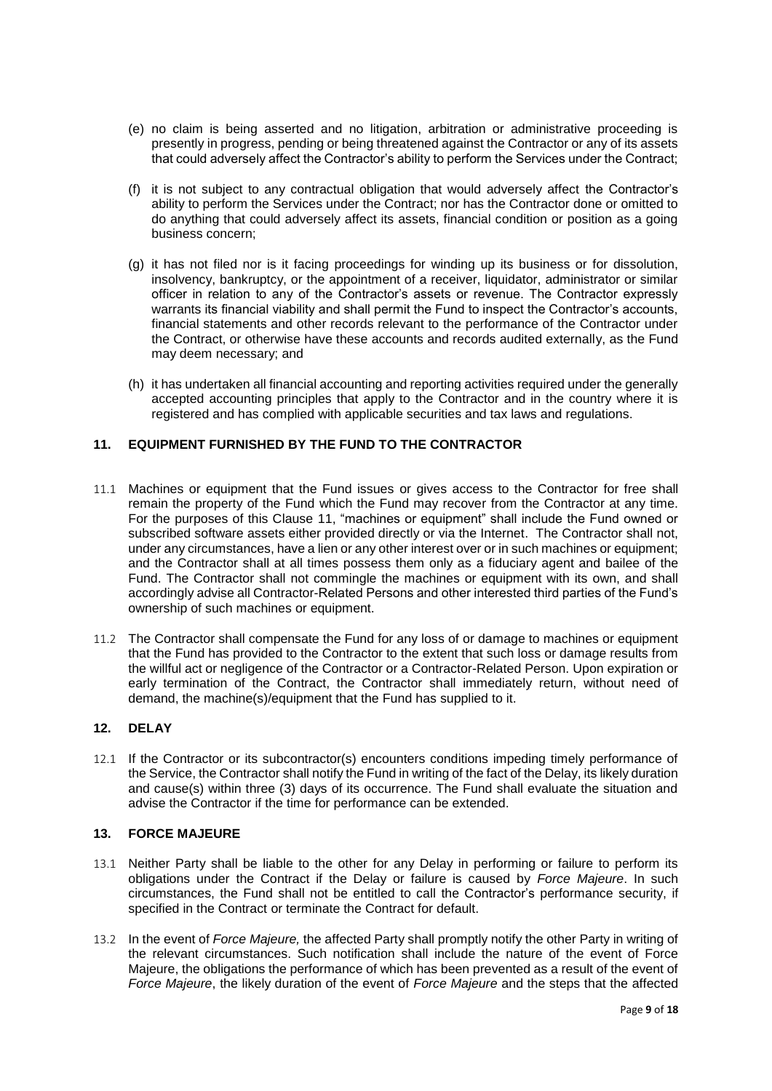- (e) no claim is being asserted and no litigation, arbitration or administrative proceeding is presently in progress, pending or being threatened against the Contractor or any of its assets that could adversely affect the Contractor's ability to perform the Services under the Contract;
- (f) it is not subject to any contractual obligation that would adversely affect the Contractor's ability to perform the Services under the Contract; nor has the Contractor done or omitted to do anything that could adversely affect its assets, financial condition or position as a going business concern;
- (g) it has not filed nor is it facing proceedings for winding up its business or for dissolution, insolvency, bankruptcy, or the appointment of a receiver, liquidator, administrator or similar officer in relation to any of the Contractor's assets or revenue. The Contractor expressly warrants its financial viability and shall permit the Fund to inspect the Contractor's accounts, financial statements and other records relevant to the performance of the Contractor under the Contract, or otherwise have these accounts and records audited externally, as the Fund may deem necessary; and
- (h) it has undertaken all financial accounting and reporting activities required under the generally accepted accounting principles that apply to the Contractor and in the country where it is registered and has complied with applicable securities and tax laws and regulations.

## <span id="page-8-0"></span>**11. EQUIPMENT FURNISHED BY THE FUND TO THE CONTRACTOR**

- 11.1 Machines or equipment that the Fund issues or gives access to the Contractor for free shall remain the property of the Fund which the Fund may recover from the Contractor at any time. For the purposes of this Clause [11,](#page-8-0) "machines or equipment" shall include the Fund owned or subscribed software assets either provided directly or via the Internet. The Contractor shall not, under any circumstances, have a lien or any other interest over or in such machines or equipment; and the Contractor shall at all times possess them only as a fiduciary agent and bailee of the Fund. The Contractor shall not commingle the machines or equipment with its own, and shall accordingly advise all Contractor-Related Persons and other interested third parties of the Fund's ownership of such machines or equipment.
- 11.2 The Contractor shall compensate the Fund for any loss of or damage to machines or equipment that the Fund has provided to the Contractor to the extent that such loss or damage results from the willful act or negligence of the Contractor or a Contractor-Related Person. Upon expiration or early termination of the Contract, the Contractor shall immediately return, without need of demand, the machine(s)/equipment that the Fund has supplied to it.

## <span id="page-8-1"></span>**12. DELAY**

12.1 If the Contractor or its subcontractor(s) encounters conditions impeding timely performance of the Service, the Contractor shall notify the Fund in writing of the fact of the Delay, its likely duration and cause(s) within three (3) days of its occurrence. The Fund shall evaluate the situation and advise the Contractor if the time for performance can be extended.

#### <span id="page-8-2"></span>**13. FORCE MAJEURE**

- 13.1 Neither Party shall be liable to the other for any Delay in performing or failure to perform its obligations under the Contract if the Delay or failure is caused by *Force Majeure*. In such circumstances, the Fund shall not be entitled to call the Contractor's performance security, if specified in the Contract or terminate the Contract for default.
- 13.2 In the event of *Force Majeure,* the affected Party shall promptly notify the other Party in writing of the relevant circumstances. Such notification shall include the nature of the event of Force Majeure, the obligations the performance of which has been prevented as a result of the event of *Force Majeure*, the likely duration of the event of *Force Majeure* and the steps that the affected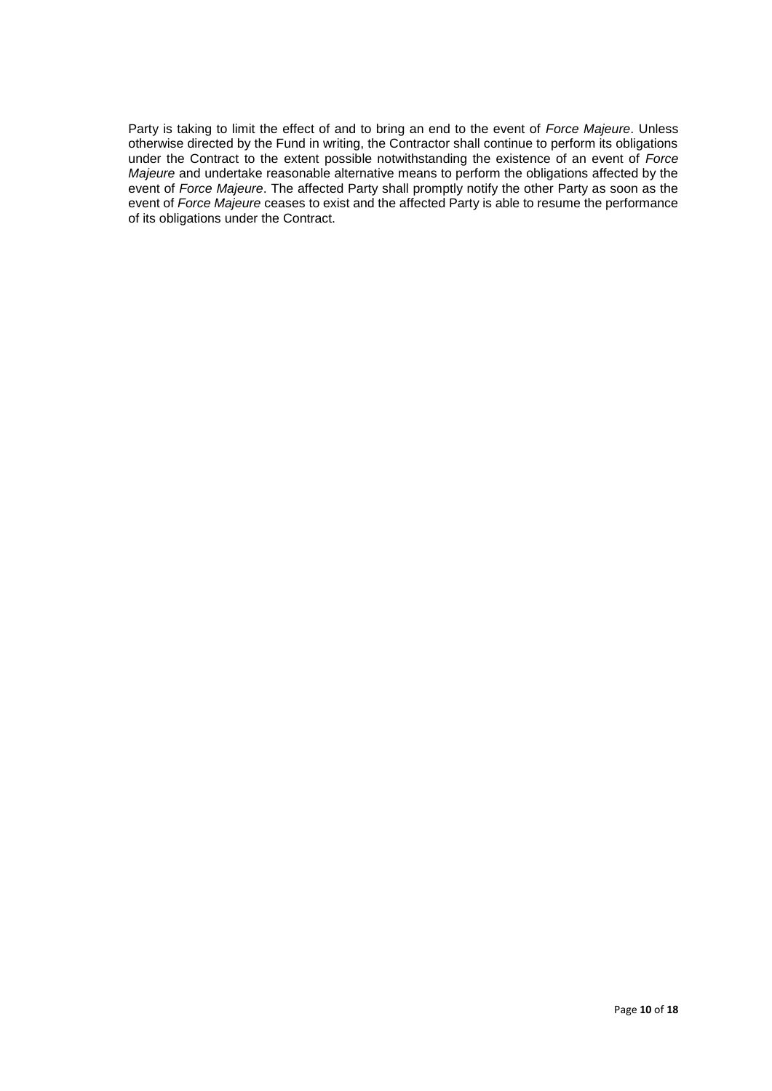Party is taking to limit the effect of and to bring an end to the event of *Force Majeure*. Unless otherwise directed by the Fund in writing, the Contractor shall continue to perform its obligations under the Contract to the extent possible notwithstanding the existence of an event of *Force Majeure* and undertake reasonable alternative means to perform the obligations affected by the event of *Force Majeure*. The affected Party shall promptly notify the other Party as soon as the event of *Force Majeure* ceases to exist and the affected Party is able to resume the performance of its obligations under the Contract.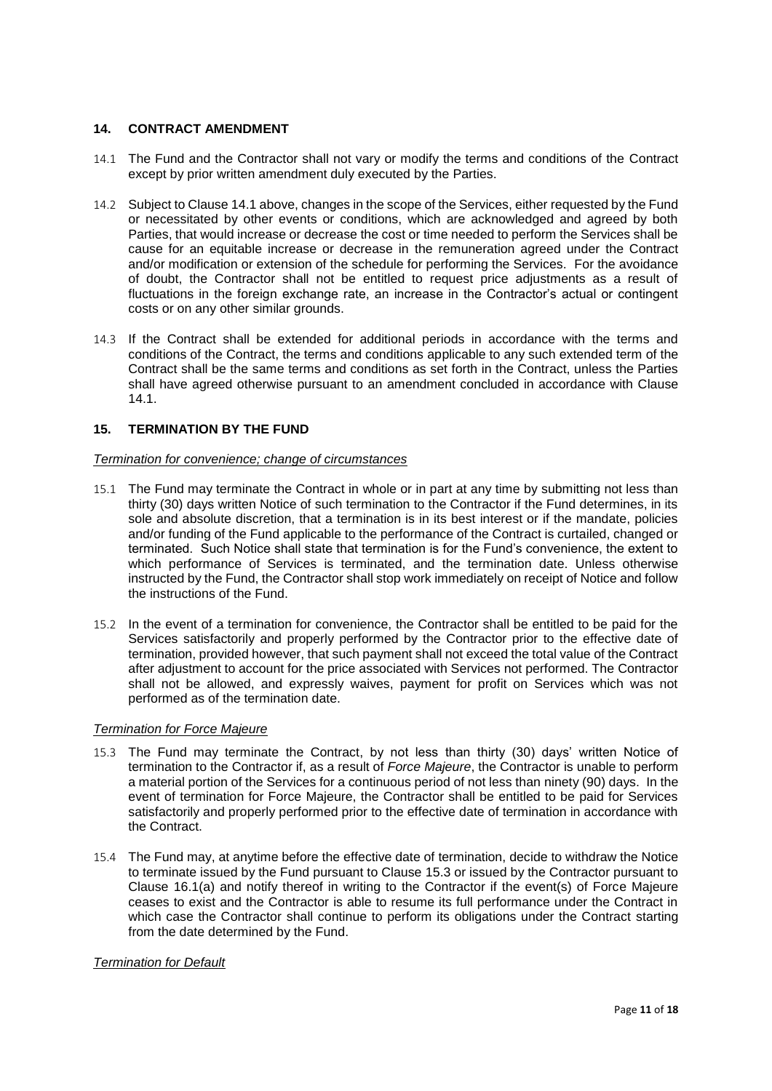## <span id="page-10-0"></span>**14. CONTRACT AMENDMENT**

- <span id="page-10-2"></span>14.1 The Fund and the Contractor shall not vary or modify the terms and conditions of the Contract except by prior written amendment duly executed by the Parties.
- 14.2 Subject to Claus[e 14.1](#page-10-2) above, changes in the scope of the Services, either requested by the Fund or necessitated by other events or conditions, which are acknowledged and agreed by both Parties, that would increase or decrease the cost or time needed to perform the Services shall be cause for an equitable increase or decrease in the remuneration agreed under the Contract and/or modification or extension of the schedule for performing the Services. For the avoidance of doubt, the Contractor shall not be entitled to request price adjustments as a result of fluctuations in the foreign exchange rate, an increase in the Contractor's actual or contingent costs or on any other similar grounds.
- 14.3 If the Contract shall be extended for additional periods in accordance with the terms and conditions of the Contract, the terms and conditions applicable to any such extended term of the Contract shall be the same terms and conditions as set forth in the Contract, unless the Parties shall have agreed otherwise pursuant to an amendment concluded in accordance with Clause [14.1.](#page-10-2)

### <span id="page-10-1"></span>**15. TERMINATION BY THE FUND**

#### *Termination for convenience; change of circumstances*

- 15.1 The Fund may terminate the Contract in whole or in part at any time by submitting not less than thirty (30) days written Notice of such termination to the Contractor if the Fund determines, in its sole and absolute discretion, that a termination is in its best interest or if the mandate, policies and/or funding of the Fund applicable to the performance of the Contract is curtailed, changed or terminated. Such Notice shall state that termination is for the Fund's convenience, the extent to which performance of Services is terminated, and the termination date. Unless otherwise instructed by the Fund, the Contractor shall stop work immediately on receipt of Notice and follow the instructions of the Fund.
- 15.2 In the event of a termination for convenience, the Contractor shall be entitled to be paid for the Services satisfactorily and properly performed by the Contractor prior to the effective date of termination, provided however, that such payment shall not exceed the total value of the Contract after adjustment to account for the price associated with Services not performed. The Contractor shall not be allowed, and expressly waives, payment for profit on Services which was not performed as of the termination date.

#### *Termination for Force Majeure*

- <span id="page-10-3"></span>15.3 The Fund may terminate the Contract, by not less than thirty (30) days' written Notice of termination to the Contractor if, as a result of *Force Majeure*, the Contractor is unable to perform a material portion of the Services for a continuous period of not less than ninety (90) days. In the event of termination for Force Majeure, the Contractor shall be entitled to be paid for Services satisfactorily and properly performed prior to the effective date of termination in accordance with the Contract.
- 15.4 The Fund may, at anytime before the effective date of termination, decide to withdraw the Notice to terminate issued by the Fund pursuant to Clause [15.3](#page-10-3) or issued by the Contractor pursuant to Clause [16.1](#page-11-2)[\(a\)](#page-11-3) and notify thereof in writing to the Contractor if the event(s) of Force Majeure ceases to exist and the Contractor is able to resume its full performance under the Contract in which case the Contractor shall continue to perform its obligations under the Contract starting from the date determined by the Fund.

#### *Termination for Default*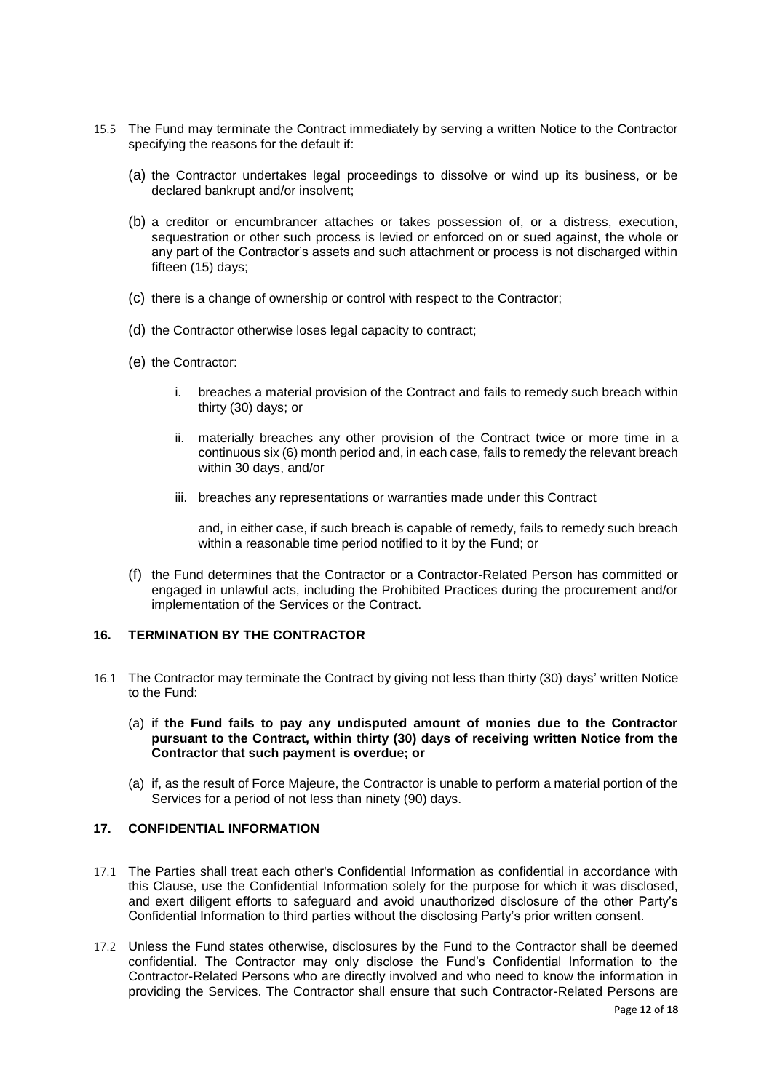- 15.5 The Fund may terminate the Contract immediately by serving a written Notice to the Contractor specifying the reasons for the default if:
	- (a) the Contractor undertakes legal proceedings to dissolve or wind up its business, or be declared bankrupt and/or insolvent;
	- (b) a creditor or encumbrancer attaches or takes possession of, or a distress, execution, sequestration or other such process is levied or enforced on or sued against, the whole or any part of the Contractor's assets and such attachment or process is not discharged within fifteen (15) days;
	- (c) there is a change of ownership or control with respect to the Contractor;
	- (d) the Contractor otherwise loses legal capacity to contract;
	- (e) the Contractor:
		- i. breaches a material provision of the Contract and fails to remedy such breach within thirty (30) days; or
		- ii. materially breaches any other provision of the Contract twice or more time in a continuous six (6) month period and, in each case, fails to remedy the relevant breach within 30 days, and/or
		- iii. breaches any representations or warranties made under this Contract

and, in either case, if such breach is capable of remedy, fails to remedy such breach within a reasonable time period notified to it by the Fund; or

(f) the Fund determines that the Contractor or a Contractor-Related Person has committed or engaged in unlawful acts, including the Prohibited Practices during the procurement and/or implementation of the Services or the Contract.

## <span id="page-11-0"></span>**16. TERMINATION BY THE CONTRACTOR**

- <span id="page-11-2"></span>16.1 The Contractor may terminate the Contract by giving not less than thirty (30) days' written Notice to the Fund:
	- (a) if **the Fund fails to pay any undisputed amount of monies due to the Contractor pursuant to the Contract, within thirty (30) days of receiving written Notice from the Contractor that such payment is overdue; or**
	- (a) if, as the result of Force Majeure, the Contractor is unable to perform a material portion of the Services for a period of not less than ninety (90) days.

### <span id="page-11-3"></span><span id="page-11-1"></span>**17. CONFIDENTIAL INFORMATION**

- 17.1 The Parties shall treat each other's Confidential Information as confidential in accordance with this Clause, use the Confidential Information solely for the purpose for which it was disclosed, and exert diligent efforts to safeguard and avoid unauthorized disclosure of the other Party's Confidential Information to third parties without the disclosing Party's prior written consent.
- 17.2 Unless the Fund states otherwise, disclosures by the Fund to the Contractor shall be deemed confidential. The Contractor may only disclose the Fund's Confidential Information to the Contractor-Related Persons who are directly involved and who need to know the information in providing the Services. The Contractor shall ensure that such Contractor-Related Persons are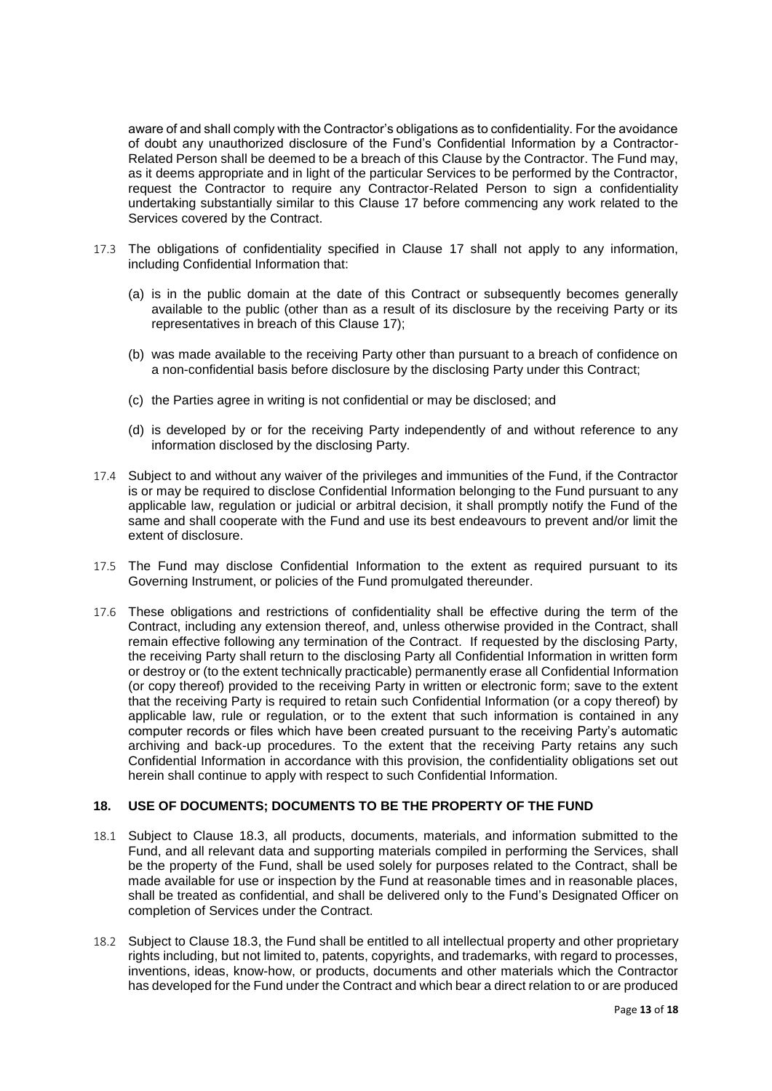aware of and shall comply with the Contractor's obligations as to confidentiality. For the avoidance of doubt any unauthorized disclosure of the Fund's Confidential Information by a Contractor-Related Person shall be deemed to be a breach of this Clause by the Contractor. The Fund may, as it deems appropriate and in light of the particular Services to be performed by the Contractor, request the Contractor to require any Contractor-Related Person to sign a confidentiality undertaking substantially similar to this Clause [17](#page-11-1) before commencing any work related to the Services covered by the Contract.

- 17.3 The obligations of confidentiality specified in Clause [17](#page-11-1) shall not apply to any information, including Confidential Information that:
	- (a) is in the public domain at the date of this Contract or subsequently becomes generally available to the public (other than as a result of its disclosure by the receiving Party or its representatives in breach of this Clause [17\)](#page-11-1);
	- (b) was made available to the receiving Party other than pursuant to a breach of confidence on a non-confidential basis before disclosure by the disclosing Party under this Contract;
	- (c) the Parties agree in writing is not confidential or may be disclosed; and
	- (d) is developed by or for the receiving Party independently of and without reference to any information disclosed by the disclosing Party.
- 17.4 Subject to and without any waiver of the privileges and immunities of the Fund, if the Contractor is or may be required to disclose Confidential Information belonging to the Fund pursuant to any applicable law, regulation or judicial or arbitral decision, it shall promptly notify the Fund of the same and shall cooperate with the Fund and use its best endeavours to prevent and/or limit the extent of disclosure.
- 17.5 The Fund may disclose Confidential Information to the extent as required pursuant to its Governing Instrument, or policies of the Fund promulgated thereunder.
- 17.6 These obligations and restrictions of confidentiality shall be effective during the term of the Contract, including any extension thereof, and, unless otherwise provided in the Contract, shall remain effective following any termination of the Contract. If requested by the disclosing Party, the receiving Party shall return to the disclosing Party all Confidential Information in written form or destroy or (to the extent technically practicable) permanently erase all Confidential Information (or copy thereof) provided to the receiving Party in written or electronic form; save to the extent that the receiving Party is required to retain such Confidential Information (or a copy thereof) by applicable law, rule or regulation, or to the extent that such information is contained in any computer records or files which have been created pursuant to the receiving Party's automatic archiving and back-up procedures. To the extent that the receiving Party retains any such Confidential Information in accordance with this provision, the confidentiality obligations set out herein shall continue to apply with respect to such Confidential Information.

#### <span id="page-12-0"></span>**18. USE OF DOCUMENTS; DOCUMENTS TO BE THE PROPERTY OF THE FUND**

- 18.1 Subject to Clause [18.3,](#page-13-3) all products, documents, materials, and information submitted to the Fund, and all relevant data and supporting materials compiled in performing the Services, shall be the property of the Fund, shall be used solely for purposes related to the Contract, shall be made available for use or inspection by the Fund at reasonable times and in reasonable places, shall be treated as confidential, and shall be delivered only to the Fund's Designated Officer on completion of Services under the Contract.
- 18.2 Subject to Clause [18.3,](#page-13-3) the Fund shall be entitled to all intellectual property and other proprietary rights including, but not limited to, patents, copyrights, and trademarks, with regard to processes, inventions, ideas, know-how, or products, documents and other materials which the Contractor has developed for the Fund under the Contract and which bear a direct relation to or are produced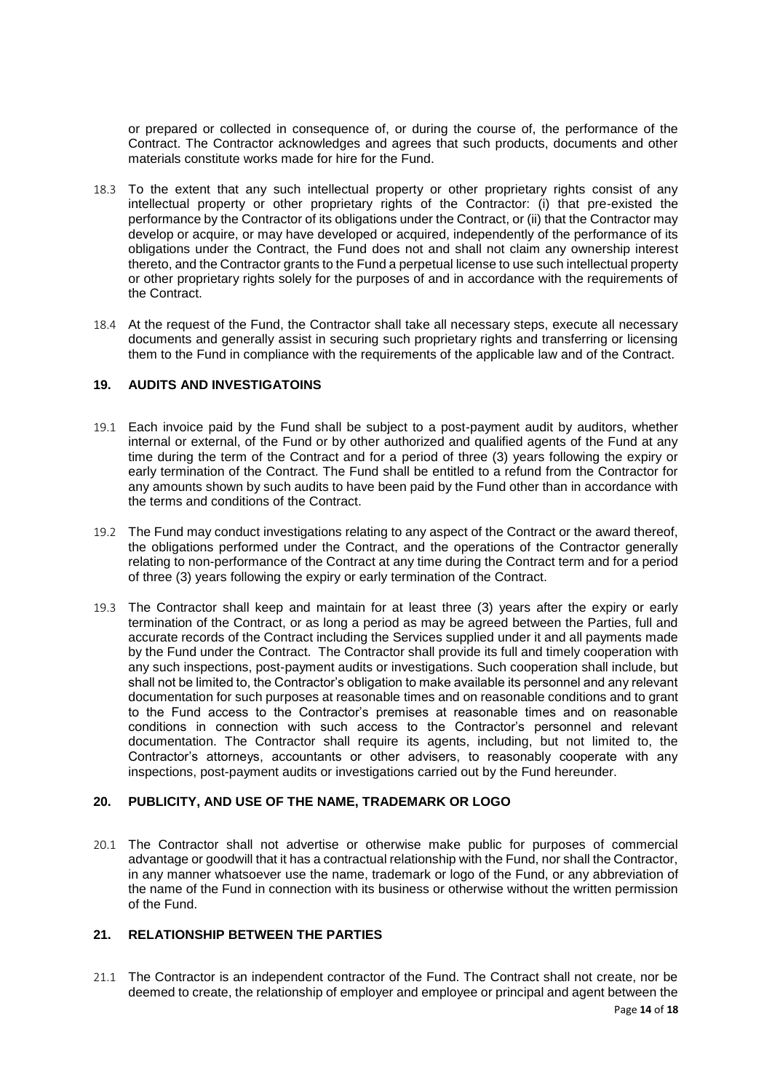or prepared or collected in consequence of, or during the course of, the performance of the Contract. The Contractor acknowledges and agrees that such products, documents and other materials constitute works made for hire for the Fund.

- <span id="page-13-3"></span>18.3 To the extent that any such intellectual property or other proprietary rights consist of any intellectual property or other proprietary rights of the Contractor: (i) that pre-existed the performance by the Contractor of its obligations under the Contract, or (ii) that the Contractor may develop or acquire, or may have developed or acquired, independently of the performance of its obligations under the Contract, the Fund does not and shall not claim any ownership interest thereto, and the Contractor grants to the Fund a perpetual license to use such intellectual property or other proprietary rights solely for the purposes of and in accordance with the requirements of the Contract.
- 18.4 At the request of the Fund, the Contractor shall take all necessary steps, execute all necessary documents and generally assist in securing such proprietary rights and transferring or licensing them to the Fund in compliance with the requirements of the applicable law and of the Contract.

## <span id="page-13-0"></span>**19. AUDITS AND INVESTIGATOINS**

- 19.1 Each invoice paid by the Fund shall be subject to a post-payment audit by auditors, whether internal or external, of the Fund or by other authorized and qualified agents of the Fund at any time during the term of the Contract and for a period of three (3) years following the expiry or early termination of the Contract. The Fund shall be entitled to a refund from the Contractor for any amounts shown by such audits to have been paid by the Fund other than in accordance with the terms and conditions of the Contract.
- 19.2 The Fund may conduct investigations relating to any aspect of the Contract or the award thereof, the obligations performed under the Contract, and the operations of the Contractor generally relating to non-performance of the Contract at any time during the Contract term and for a period of three (3) years following the expiry or early termination of the Contract.
- 19.3 The Contractor shall keep and maintain for at least three (3) years after the expiry or early termination of the Contract, or as long a period as may be agreed between the Parties, full and accurate records of the Contract including the Services supplied under it and all payments made by the Fund under the Contract. The Contractor shall provide its full and timely cooperation with any such inspections, post-payment audits or investigations. Such cooperation shall include, but shall not be limited to, the Contractor's obligation to make available its personnel and any relevant documentation for such purposes at reasonable times and on reasonable conditions and to grant to the Fund access to the Contractor's premises at reasonable times and on reasonable conditions in connection with such access to the Contractor's personnel and relevant documentation. The Contractor shall require its agents, including, but not limited to, the Contractor's attorneys, accountants or other advisers, to reasonably cooperate with any inspections, post-payment audits or investigations carried out by the Fund hereunder.

## <span id="page-13-1"></span>**20. PUBLICITY, AND USE OF THE NAME, TRADEMARK OR LOGO**

20.1 The Contractor shall not advertise or otherwise make public for purposes of commercial advantage or goodwill that it has a contractual relationship with the Fund, nor shall the Contractor, in any manner whatsoever use the name, trademark or logo of the Fund, or any abbreviation of the name of the Fund in connection with its business or otherwise without the written permission of the Fund.

## <span id="page-13-2"></span>**21. RELATIONSHIP BETWEEN THE PARTIES**

21.1 The Contractor is an independent contractor of the Fund. The Contract shall not create, nor be deemed to create, the relationship of employer and employee or principal and agent between the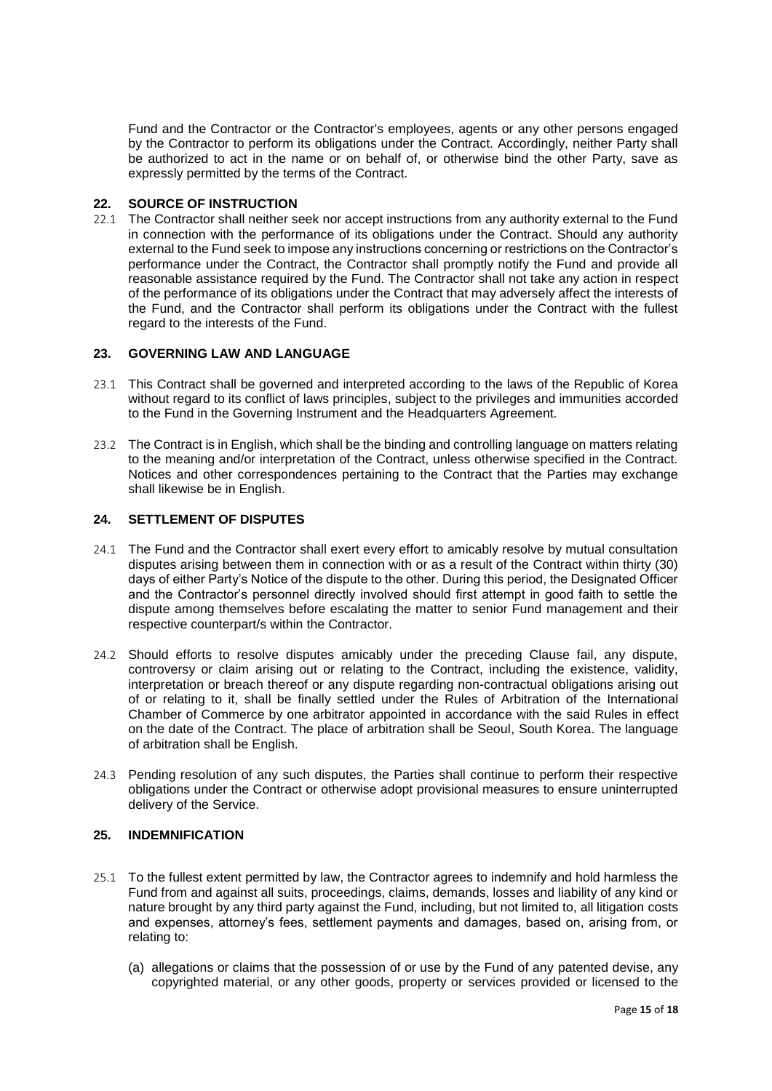Fund and the Contractor or the Contractor's employees, agents or any other persons engaged by the Contractor to perform its obligations under the Contract. Accordingly, neither Party shall be authorized to act in the name or on behalf of, or otherwise bind the other Party, save as expressly permitted by the terms of the Contract.

#### <span id="page-14-0"></span>**22. SOURCE OF INSTRUCTION**

22.1 The Contractor shall neither seek nor accept instructions from any authority external to the Fund in connection with the performance of its obligations under the Contract. Should any authority external to the Fund seek to impose any instructions concerning or restrictions on the Contractor's performance under the Contract, the Contractor shall promptly notify the Fund and provide all reasonable assistance required by the Fund. The Contractor shall not take any action in respect of the performance of its obligations under the Contract that may adversely affect the interests of the Fund, and the Contractor shall perform its obligations under the Contract with the fullest regard to the interests of the Fund.

## <span id="page-14-1"></span>**23. GOVERNING LAW AND LANGUAGE**

- 23.1 This Contract shall be governed and interpreted according to the laws of the Republic of Korea without regard to its conflict of laws principles, subject to the privileges and immunities accorded to the Fund in the Governing Instrument and the Headquarters Agreement.
- 23.2 The Contract is in English, which shall be the binding and controlling language on matters relating to the meaning and/or interpretation of the Contract, unless otherwise specified in the Contract. Notices and other correspondences pertaining to the Contract that the Parties may exchange shall likewise be in English.

## <span id="page-14-2"></span>**24. SETTLEMENT OF DISPUTES**

- 24.1 The Fund and the Contractor shall exert every effort to amicably resolve by mutual consultation disputes arising between them in connection with or as a result of the Contract within thirty (30) days of either Party's Notice of the dispute to the other. During this period, the Designated Officer and the Contractor's personnel directly involved should first attempt in good faith to settle the dispute among themselves before escalating the matter to senior Fund management and their respective counterpart/s within the Contractor.
- 24.2 Should efforts to resolve disputes amicably under the preceding Clause fail, any dispute, controversy or claim arising out or relating to the Contract, including the existence, validity, interpretation or breach thereof or any dispute regarding non-contractual obligations arising out of or relating to it, shall be finally settled under the Rules of Arbitration of the International Chamber of Commerce by one arbitrator appointed in accordance with the said Rules in effect on the date of the Contract. The place of arbitration shall be Seoul, South Korea. The language of arbitration shall be English.
- 24.3 Pending resolution of any such disputes, the Parties shall continue to perform their respective obligations under the Contract or otherwise adopt provisional measures to ensure uninterrupted delivery of the Service.

#### <span id="page-14-3"></span>**25. INDEMNIFICATION**

- 25.1 To the fullest extent permitted by law, the Contractor agrees to indemnify and hold harmless the Fund from and against all suits, proceedings, claims, demands, losses and liability of any kind or nature brought by any third party against the Fund, including, but not limited to, all litigation costs and expenses, attorney's fees, settlement payments and damages, based on, arising from, or relating to:
	- (a) allegations or claims that the possession of or use by the Fund of any patented devise, any copyrighted material, or any other goods, property or services provided or licensed to the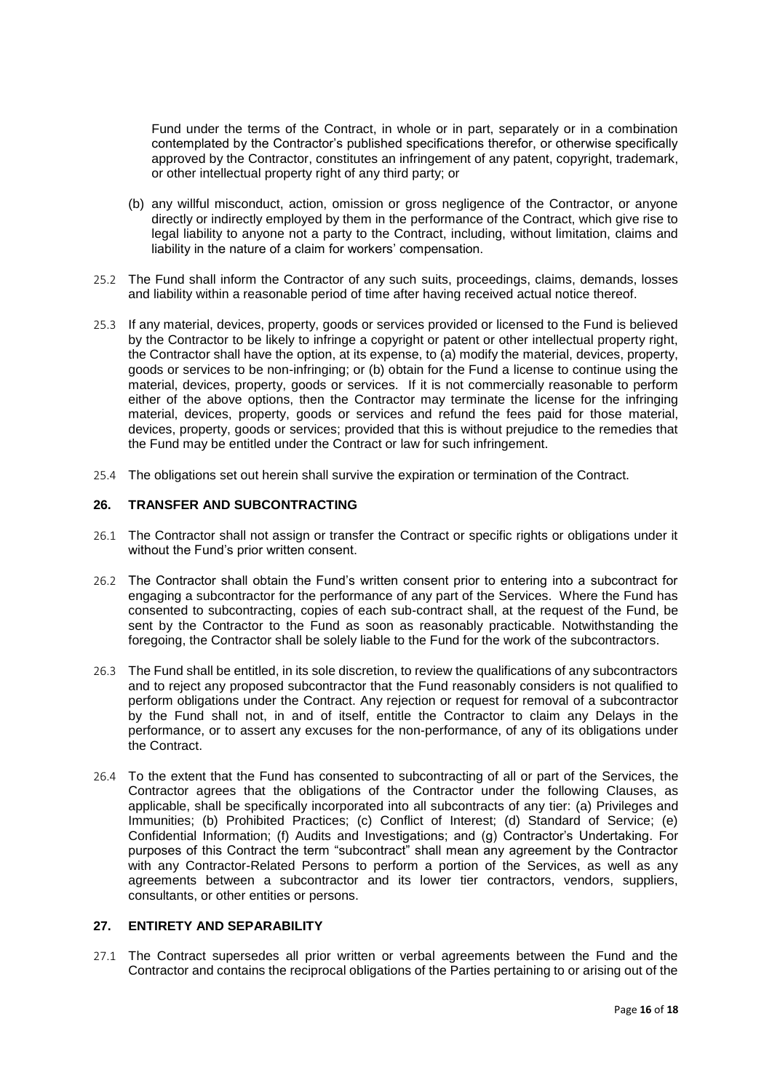Fund under the terms of the Contract, in whole or in part, separately or in a combination contemplated by the Contractor's published specifications therefor, or otherwise specifically approved by the Contractor, constitutes an infringement of any patent, copyright, trademark, or other intellectual property right of any third party; or

- (b) any willful misconduct, action, omission or gross negligence of the Contractor, or anyone directly or indirectly employed by them in the performance of the Contract, which give rise to legal liability to anyone not a party to the Contract, including, without limitation, claims and liability in the nature of a claim for workers' compensation.
- 25.2 The Fund shall inform the Contractor of any such suits, proceedings, claims, demands, losses and liability within a reasonable period of time after having received actual notice thereof.
- 25.3 If any material, devices, property, goods or services provided or licensed to the Fund is believed by the Contractor to be likely to infringe a copyright or patent or other intellectual property right, the Contractor shall have the option, at its expense, to (a) modify the material, devices, property, goods or services to be non-infringing; or (b) obtain for the Fund a license to continue using the material, devices, property, goods or services. If it is not commercially reasonable to perform either of the above options, then the Contractor may terminate the license for the infringing material, devices, property, goods or services and refund the fees paid for those material, devices, property, goods or services; provided that this is without prejudice to the remedies that the Fund may be entitled under the Contract or law for such infringement.
- 25.4 The obligations set out herein shall survive the expiration or termination of the Contract.

### <span id="page-15-0"></span>**26. TRANSFER AND SUBCONTRACTING**

- 26.1 The Contractor shall not assign or transfer the Contract or specific rights or obligations under it without the Fund's prior written consent.
- 26.2 The Contractor shall obtain the Fund's written consent prior to entering into a subcontract for engaging a subcontractor for the performance of any part of the Services. Where the Fund has consented to subcontracting, copies of each sub-contract shall, at the request of the Fund, be sent by the Contractor to the Fund as soon as reasonably practicable. Notwithstanding the foregoing, the Contractor shall be solely liable to the Fund for the work of the subcontractors.
- 26.3 The Fund shall be entitled, in its sole discretion, to review the qualifications of any subcontractors and to reject any proposed subcontractor that the Fund reasonably considers is not qualified to perform obligations under the Contract. Any rejection or request for removal of a subcontractor by the Fund shall not, in and of itself, entitle the Contractor to claim any Delays in the performance, or to assert any excuses for the non-performance, of any of its obligations under the Contract.
- 26.4 To the extent that the Fund has consented to subcontracting of all or part of the Services, the Contractor agrees that the obligations of the Contractor under the following Clauses, as applicable, shall be specifically incorporated into all subcontracts of any tier: (a) Privileges and Immunities; (b) Prohibited Practices; (c) Conflict of Interest; (d) Standard of Service; (e) Confidential Information; (f) Audits and Investigations; and (g) Contractor's Undertaking. For purposes of this Contract the term "subcontract" shall mean any agreement by the Contractor with any Contractor-Related Persons to perform a portion of the Services, as well as any agreements between a subcontractor and its lower tier contractors, vendors, suppliers, consultants, or other entities or persons.

#### <span id="page-15-1"></span>**27. ENTIRETY AND SEPARABILITY**

27.1 The Contract supersedes all prior written or verbal agreements between the Fund and the Contractor and contains the reciprocal obligations of the Parties pertaining to or arising out of the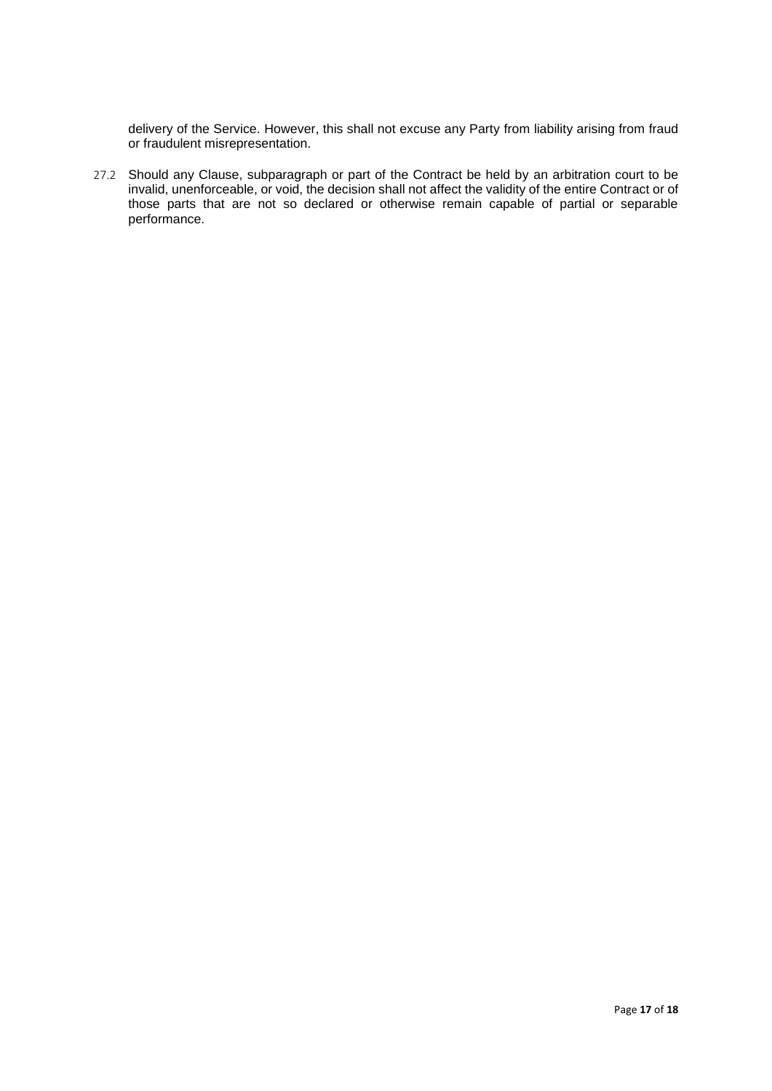delivery of the Service. However, this shall not excuse any Party from liability arising from fraud or fraudulent misrepresentation.

27.2 Should any Clause, subparagraph or part of the Contract be held by an arbitration court to be invalid, unenforceable, or void, the decision shall not affect the validity of the entire Contract or of those parts that are not so declared or otherwise remain capable of partial or separable performance.